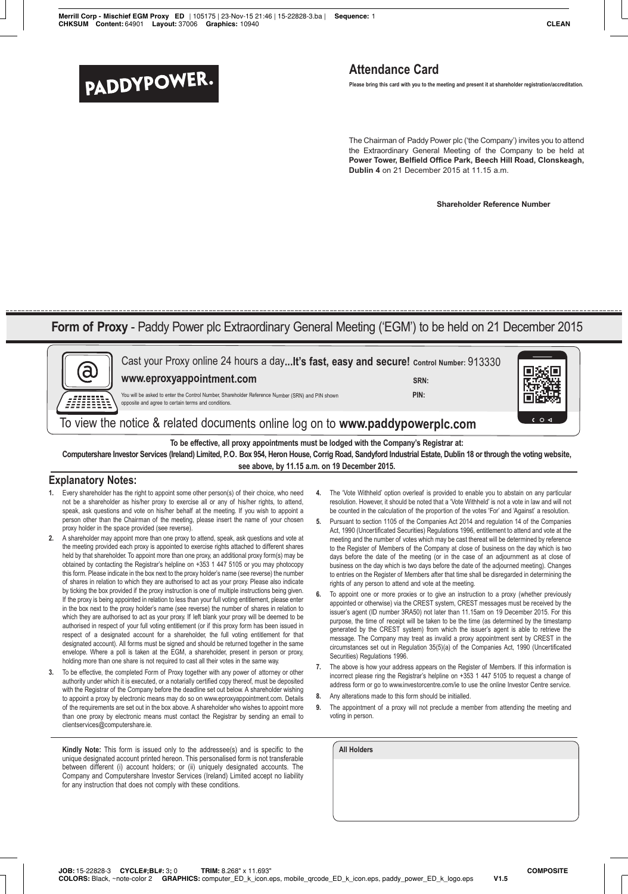# **PADDYPOWER.**<br>Please bring this card with you to the meeting and present it at shareholder registration/accreditation.

The Chairman of Paddy Power plc ('the Company') invites you to attend the Extraordinary General Meeting of the Company to be held at **Power Tower, Belfield Office Park, Beech Hill Road, Clonskeagh, Dublin 4** on 21 December 2015 at 11.15 a.m.

**Shareholder Reference Number**

# **Form of Proxy** - Paddy Power plc Extraordinary General Meeting ('EGM') to be held on 21 December 2015

| Cast your Proxy online 24 hours a dayIt's fast, easy and secure! Control Number: 913330<br>www.eproxyappointment.com<br>You will be asked to enter the Control Number, Shareholder Reference Number (SRN) and PIN shown<br>opposite and agree to certain terms and conditions.<br>To view the notice & related documents online log on to www.paddypowerplc.com                                                                                                                                                                                                                                                                                                                                                                                                                                                                                                                                                                                                                                                                                                                                                                                                                                                                                                                                                                                                                                                                                                                                                                                                                                                                                                                                                                                                                                                                                                                                                                                                                                                                                                                                                                                                                                                                                                                                                                                                                                                                                                                                                                                                                                                                                                                                                                                                                                                                                                                                                                                                                                                    | SRN:<br>PIN:<br>$C$ $\circ$ $\triangleleft$<br>To be effective, all proxy appointments must be lodged with the Company's Registrar at:<br>Computershare Investor Services (Ireland) Limited, P.O. Box 954, Heron House, Corrig Road, Sandyford Industrial Estate, Dublin 18 or through the voting website,<br>see above, by 11.15 a.m. on 19 December 2015.                                                                                                                                                                                                                                                                                                                                                                                                                                                                                                                                                                                                                                                                                                                                                                                                                                                                                                                                                                                                                                                                                                                                                                                                                                                                                                                                                                                                                                                                                                                                                                                                                                                                                                                                                                                                                                                                                  |
|--------------------------------------------------------------------------------------------------------------------------------------------------------------------------------------------------------------------------------------------------------------------------------------------------------------------------------------------------------------------------------------------------------------------------------------------------------------------------------------------------------------------------------------------------------------------------------------------------------------------------------------------------------------------------------------------------------------------------------------------------------------------------------------------------------------------------------------------------------------------------------------------------------------------------------------------------------------------------------------------------------------------------------------------------------------------------------------------------------------------------------------------------------------------------------------------------------------------------------------------------------------------------------------------------------------------------------------------------------------------------------------------------------------------------------------------------------------------------------------------------------------------------------------------------------------------------------------------------------------------------------------------------------------------------------------------------------------------------------------------------------------------------------------------------------------------------------------------------------------------------------------------------------------------------------------------------------------------------------------------------------------------------------------------------------------------------------------------------------------------------------------------------------------------------------------------------------------------------------------------------------------------------------------------------------------------------------------------------------------------------------------------------------------------------------------------------------------------------------------------------------------------------------------------------------------------------------------------------------------------------------------------------------------------------------------------------------------------------------------------------------------------------------------------------------------------------------------------------------------------------------------------------------------------------------------------------------------------------------------------------------------------|----------------------------------------------------------------------------------------------------------------------------------------------------------------------------------------------------------------------------------------------------------------------------------------------------------------------------------------------------------------------------------------------------------------------------------------------------------------------------------------------------------------------------------------------------------------------------------------------------------------------------------------------------------------------------------------------------------------------------------------------------------------------------------------------------------------------------------------------------------------------------------------------------------------------------------------------------------------------------------------------------------------------------------------------------------------------------------------------------------------------------------------------------------------------------------------------------------------------------------------------------------------------------------------------------------------------------------------------------------------------------------------------------------------------------------------------------------------------------------------------------------------------------------------------------------------------------------------------------------------------------------------------------------------------------------------------------------------------------------------------------------------------------------------------------------------------------------------------------------------------------------------------------------------------------------------------------------------------------------------------------------------------------------------------------------------------------------------------------------------------------------------------------------------------------------------------------------------------------------------------|
| <b>Explanatory Notes:</b><br>1. Every shareholder has the right to appoint some other person(s) of their choice, who need<br>not be a shareholder as his/her proxy to exercise all or any of his/her rights, to attend,<br>speak, ask questions and vote on his/her behalf at the meeting. If you wish to appoint a<br>person other than the Chairman of the meeting, please insert the name of your chosen<br>proxy holder in the space provided (see reverse).<br>A shareholder may appoint more than one proxy to attend, speak, ask questions and vote at<br>2.<br>the meeting provided each proxy is appointed to exercise rights attached to different shares<br>held by that shareholder. To appoint more than one proxy, an additional proxy form(s) may be<br>obtained by contacting the Registrar's helpline on +353 1 447 5105 or you may photocopy<br>this form. Please indicate in the box next to the proxy holder's name (see reverse) the number<br>of shares in relation to which they are authorised to act as your proxy. Please also indicate<br>by ticking the box provided if the proxy instruction is one of multiple instructions being given.<br>If the proxy is being appointed in relation to less than your full voting entitlement, please enter<br>in the box next to the proxy holder's name (see reverse) the number of shares in relation to<br>which they are authorised to act as your proxy. If left blank your proxy will be deemed to be<br>authorised in respect of your full voting entitlement (or if this proxy form has been issued in<br>respect of a designated account for a shareholder, the full voting entitlement for that<br>designated account). All forms must be signed and should be returned together in the same<br>envelope. Where a poll is taken at the EGM, a shareholder, present in person or proxy,<br>holding more than one share is not required to cast all their votes in the same way.<br>To be effective, the completed Form of Proxy together with any power of attorney or other<br>3.<br>authority under which it is executed, or a notarially certified copy thereof, must be deposited<br>with the Registrar of the Company before the deadline set out below. A shareholder wishing<br>to appoint a proxy by electronic means may do so on www.eproxyappointment.com. Details<br>of the requirements are set out in the box above. A shareholder who wishes to appoint more<br>than one proxy by electronic means must contact the Registrar by sending an email to<br>clientservices@computershare.ie.<br><b>Kindly Note:</b> This form is issued only to the addressee(s) and is specific to the<br>unique designated account printed hereon. This personalised form is not transferable<br>between different (i) account holders; or (ii) uniquely designated accounts. The<br>Company and Computershare Investor Services (Ireland) Limited accept no liability<br>for any instruction that does not comply with these conditions. | The 'Vote Withheld' option overleaf is provided to enable you to abstain on any particular<br>4.<br>resolution. However, it should be noted that a 'Vote Withheld' is not a vote in law and will not<br>be counted in the calculation of the proportion of the votes 'For' and 'Against' a resolution.<br>5.<br>Pursuant to section 1105 of the Companies Act 2014 and regulation 14 of the Companies<br>Act, 1990 (Uncertificated Securities) Regulations 1996, entitlement to attend and vote at the<br>meeting and the number of votes which may be cast thereat will be determined by reference<br>to the Register of Members of the Company at close of business on the day which is two<br>days before the date of the meeting (or in the case of an adjournment as at close of<br>business on the day which is two days before the date of the adjourned meeting). Changes<br>to entries on the Register of Members after that time shall be disregarded in determining the<br>rights of any person to attend and vote at the meeting.<br>6.<br>To appoint one or more proxies or to give an instruction to a proxy (whether previously<br>appointed or otherwise) via the CREST system, CREST messages must be received by the<br>issuer's agent (ID number 3RA50) not later than 11.15am on 19 December 2015. For this<br>purpose, the time of receipt will be taken to be the time (as determined by the timestamp<br>generated by the CREST system) from which the issuer's agent is able to retrieve the<br>message. The Company may treat as invalid a proxy appointment sent by CREST in the<br>circumstances set out in Regulation 35(5)(a) of the Companies Act, 1990 (Uncertificated<br>Securities) Regulations 1996.<br>The above is how your address appears on the Register of Members. If this information is<br>7.<br>incorrect please ring the Registrar's helpline on +353 1 447 5105 to request a change of<br>address form or go to www.investorcentre.com/ie to use the online Investor Centre service.<br>8.<br>Any alterations made to this form should be initialled.<br>The appointment of a proxy will not preclude a member from attending the meeting and<br>9.<br>voting in person.<br><b>All Holders</b> |

JOB: 15-22828-3 **CYCLE#;BL#:** 3; 0 TRIM: 8.268" x 11.693"<br>COLORS: Black, ~note-color 2 GRAPHICS: computer\_ED\_k\_icon.eps, mobile\_qrcode\_ED\_k\_icon.eps, paddy\_power\_ED\_k\_logo.eps V1.5 **COLORS:** Black, ~note-color 2 **GRAPHICS:** computer\_ED\_k\_icon.eps, mobile\_qrcode\_ED\_k\_icon.eps, paddy\_power\_ED\_k\_logo.eps **V1.5**